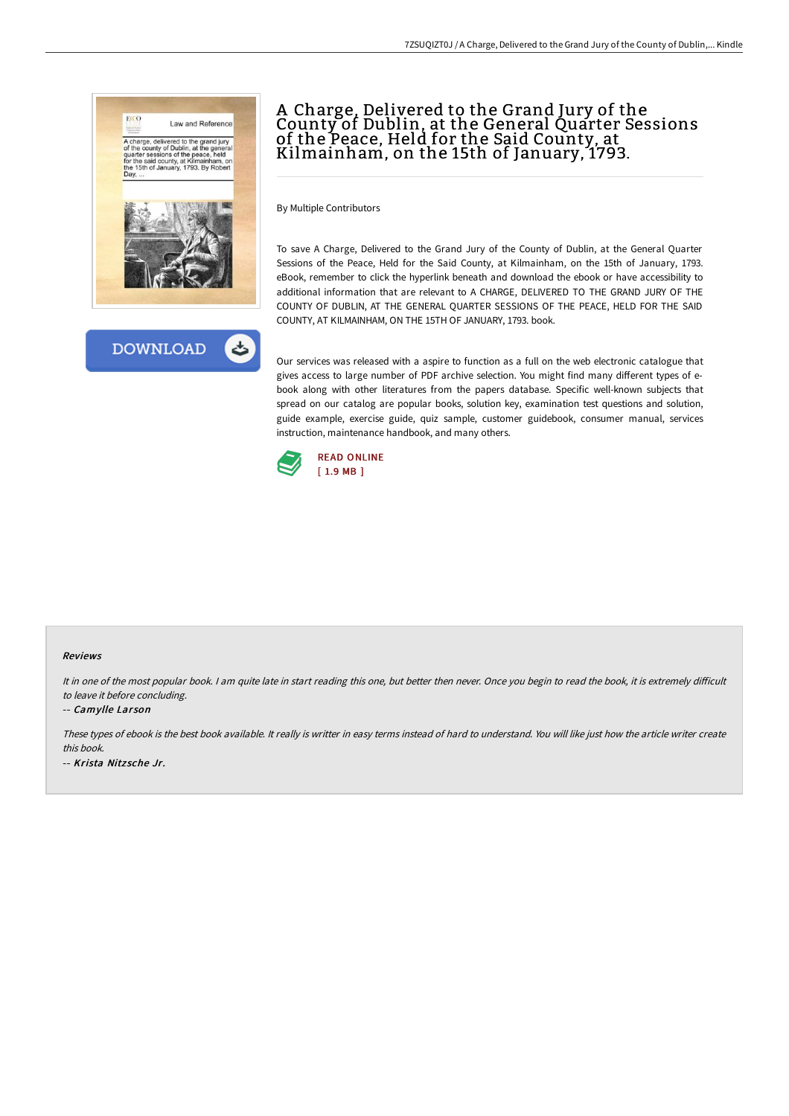



By Multiple Contributors

To save A Charge, Delivered to the Grand Jury of the County of Dublin, at the General Quarter Sessions of the Peace, Held for the Said County, at Kilmainham, on the 15th of January, 1793. eBook, remember to click the hyperlink beneath and download the ebook or have accessibility to additional information that are relevant to A CHARGE, DELIVERED TO THE GRAND JURY OF THE COUNTY OF DUBLIN, AT THE GENERAL QUARTER SESSIONS OF THE PEACE, HELD FOR THE SAID COUNTY, AT KILMAINHAM, ON THE 15TH OF JANUARY, 1793. book.

Our services was released with a aspire to function as a full on the web electronic catalogue that gives access to large number of PDF archive selection. You might find many different types of ebook along with other literatures from the papers database. Specific well-known subjects that spread on our catalog are popular books, solution key, examination test questions and solution, guide example, exercise guide, quiz sample, customer guidebook, consumer manual, services instruction, maintenance handbook, and many others.



#### Reviews

It in one of the most popular book. I am quite late in start reading this one, but better then never. Once you begin to read the book, it is extremely difficult to leave it before concluding.

#### -- Camylle Larson

These types of ebook is the best book available. It really is writter in easy terms instead of hard to understand. You will like just how the article writer create this book. -- Krista Nitz sche Jr.